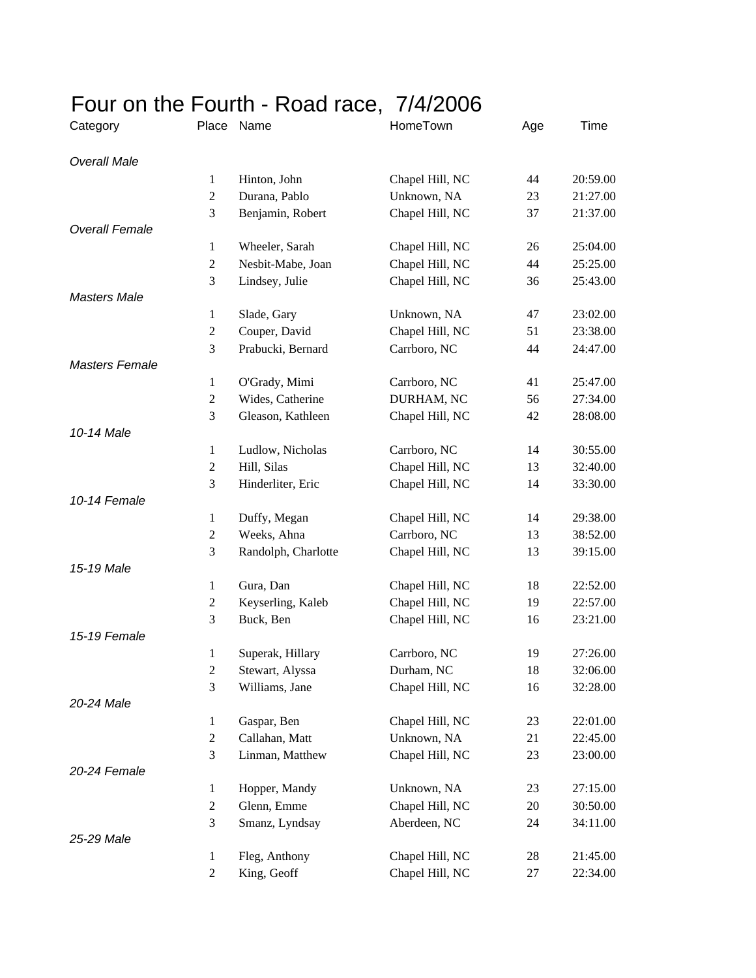## Four on the Fourth - Road race, 7/4/2006

| Category              | Place               | Name                | HomeTown        | Age | Time     |
|-----------------------|---------------------|---------------------|-----------------|-----|----------|
| <b>Overall Male</b>   |                     |                     |                 |     |          |
|                       | $\mathbf{1}$        | Hinton, John        | Chapel Hill, NC | 44  | 20:59.00 |
|                       | $\overline{2}$      | Durana, Pablo       | Unknown, NA     | 23  | 21:27.00 |
|                       | 3                   | Benjamin, Robert    | Chapel Hill, NC | 37  | 21:37.00 |
| <b>Overall Female</b> |                     |                     |                 |     |          |
|                       | $\mathbf{1}$        | Wheeler, Sarah      | Chapel Hill, NC | 26  | 25:04.00 |
|                       | $\overline{2}$      | Nesbit-Mabe, Joan   | Chapel Hill, NC | 44  | 25:25.00 |
|                       | 3                   | Lindsey, Julie      | Chapel Hill, NC | 36  | 25:43.00 |
| <b>Masters Male</b>   |                     |                     |                 |     |          |
|                       | $\mathbf{1}$        | Slade, Gary         | Unknown, NA     | 47  | 23:02.00 |
|                       | $\overline{2}$      | Couper, David       | Chapel Hill, NC | 51  | 23:38.00 |
|                       | 3                   | Prabucki, Bernard   | Carrboro, NC    | 44  | 24:47.00 |
| <b>Masters Female</b> |                     |                     |                 |     |          |
|                       | 1                   | O'Grady, Mimi       | Carrboro, NC    | 41  | 25:47.00 |
|                       | $\overline{2}$      | Wides, Catherine    | DURHAM, NC      | 56  | 27:34.00 |
|                       | 3                   | Gleason, Kathleen   | Chapel Hill, NC | 42  | 28:08.00 |
| 10-14 Male            |                     |                     |                 |     |          |
|                       | $\mathbf{1}$        | Ludlow, Nicholas    | Carrboro, NC    | 14  | 30:55.00 |
|                       | $\overline{c}$      | Hill, Silas         | Chapel Hill, NC | 13  | 32:40.00 |
|                       | 3                   | Hinderliter, Eric   | Chapel Hill, NC | 14  | 33:30.00 |
| 10-14 Female          |                     |                     |                 |     |          |
|                       | $\mathbf{1}$        | Duffy, Megan        | Chapel Hill, NC | 14  | 29:38.00 |
|                       | $\overline{2}$      | Weeks, Ahna         | Carrboro, NC    | 13  | 38:52.00 |
|                       | 3                   | Randolph, Charlotte | Chapel Hill, NC | 13  | 39:15.00 |
| 15-19 Male            |                     |                     |                 |     |          |
|                       | 1                   | Gura, Dan           | Chapel Hill, NC | 18  | 22:52.00 |
|                       | $\overline{2}$<br>3 | Keyserling, Kaleb   | Chapel Hill, NC | 19  | 22:57.00 |
| 15-19 Female          |                     | Buck, Ben           | Chapel Hill, NC | 16  | 23:21.00 |
|                       | 1                   | Superak, Hillary    | Carrboro, NC    | 19  | 27:26.00 |
|                       | $\overline{c}$      | Stewart, Alyssa     | Durham, NC      | 18  | 32:06.00 |
|                       | 3                   | Williams, Jane      | Chapel Hill, NC | 16  | 32:28.00 |
| 20-24 Male            |                     |                     |                 |     |          |
|                       | $\mathbf{1}$        | Gaspar, Ben         | Chapel Hill, NC | 23  | 22:01.00 |
|                       | $\overline{c}$      | Callahan, Matt      | Unknown, NA     | 21  | 22:45.00 |
|                       | 3                   | Linman, Matthew     | Chapel Hill, NC | 23  | 23:00.00 |
| 20-24 Female          |                     |                     |                 |     |          |
|                       | 1                   | Hopper, Mandy       | Unknown, NA     | 23  | 27:15.00 |
|                       | $\overline{c}$      | Glenn, Emme         | Chapel Hill, NC | 20  | 30:50.00 |
|                       | 3                   | Smanz, Lyndsay      | Aberdeen, NC    | 24  | 34:11.00 |
| 25-29 Male            |                     |                     |                 |     |          |
|                       | $\mathbf{1}$        | Fleg, Anthony       | Chapel Hill, NC | 28  | 21:45.00 |
|                       | 2                   | King, Geoff         | Chapel Hill, NC | 27  | 22:34.00 |
|                       |                     |                     |                 |     |          |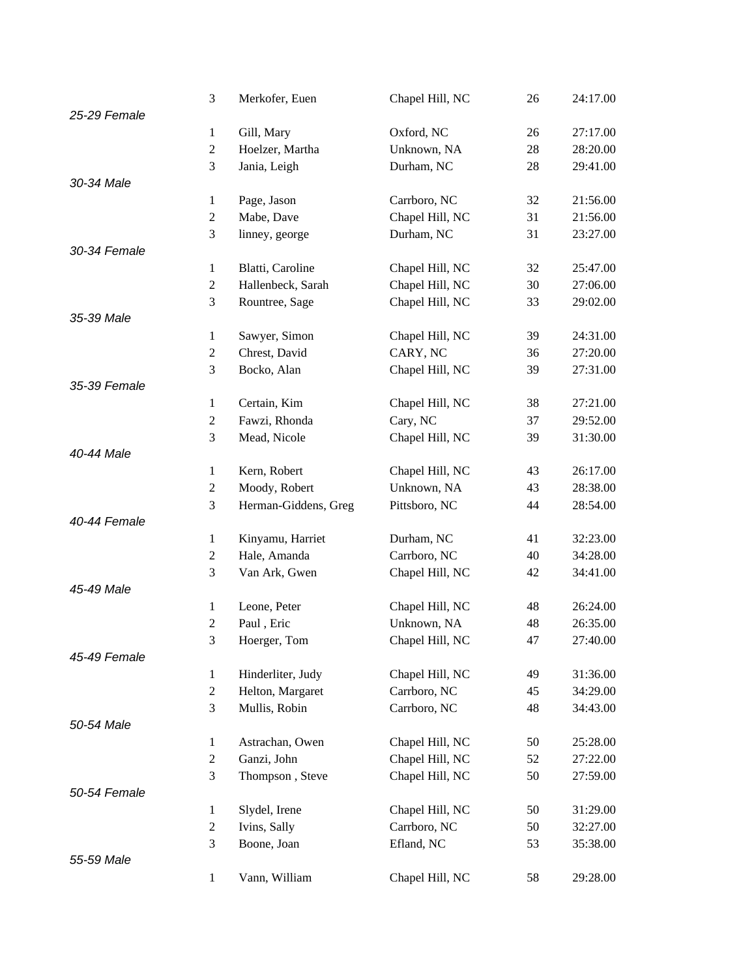|              | 3              | Merkofer, Euen       | Chapel Hill, NC | 26 | 24:17.00 |
|--------------|----------------|----------------------|-----------------|----|----------|
| 25-29 Female |                |                      |                 |    |          |
|              | $\mathbf{1}$   | Gill, Mary           | Oxford, NC      | 26 | 27:17.00 |
|              | $\overline{c}$ | Hoelzer, Martha      | Unknown, NA     | 28 | 28:20.00 |
|              | 3              | Jania, Leigh         | Durham, NC      | 28 | 29:41.00 |
| 30-34 Male   |                |                      |                 |    |          |
|              | $\mathbf{1}$   | Page, Jason          | Carrboro, NC    | 32 | 21:56.00 |
|              | $\overline{2}$ | Mabe, Dave           | Chapel Hill, NC | 31 | 21:56.00 |
|              | 3              | linney, george       | Durham, NC      | 31 | 23:27.00 |
| 30-34 Female |                |                      |                 |    |          |
|              | $\mathbf{1}$   | Blatti, Caroline     | Chapel Hill, NC | 32 | 25:47.00 |
|              | $\overline{c}$ | Hallenbeck, Sarah    | Chapel Hill, NC | 30 | 27:06.00 |
|              | 3              | Rountree, Sage       | Chapel Hill, NC | 33 | 29:02.00 |
| 35-39 Male   |                |                      |                 |    |          |
|              | $\mathbf{1}$   | Sawyer, Simon        | Chapel Hill, NC | 39 | 24:31.00 |
|              | $\overline{c}$ | Chrest, David        | CARY, NC        | 36 | 27:20.00 |
|              | 3              | Bocko, Alan          | Chapel Hill, NC | 39 | 27:31.00 |
| 35-39 Female |                |                      |                 |    |          |
|              | $\mathbf{1}$   | Certain, Kim         | Chapel Hill, NC | 38 | 27:21.00 |
|              | $\overline{c}$ | Fawzi, Rhonda        | Cary, NC        | 37 | 29:52.00 |
|              | 3              | Mead, Nicole         | Chapel Hill, NC | 39 | 31:30.00 |
| 40-44 Male   |                |                      |                 |    |          |
|              | $\mathbf{1}$   | Kern, Robert         | Chapel Hill, NC | 43 | 26:17.00 |
|              | $\overline{2}$ | Moody, Robert        | Unknown, NA     | 43 | 28:38.00 |
|              | 3              | Herman-Giddens, Greg | Pittsboro, NC   | 44 | 28:54.00 |
| 40-44 Female |                |                      |                 |    |          |
|              | $\mathbf{1}$   | Kinyamu, Harriet     | Durham, NC      | 41 | 32:23.00 |
|              | $\overline{c}$ | Hale, Amanda         | Carrboro, NC    | 40 | 34:28.00 |
|              | 3              | Van Ark, Gwen        | Chapel Hill, NC | 42 | 34:41.00 |
| 45-49 Male   |                |                      |                 |    |          |
|              | $\mathbf{1}$   | Leone, Peter         | Chapel Hill, NC | 48 | 26:24.00 |
|              | $\overline{2}$ | Paul, Eric           | Unknown, NA     | 48 | 26:35.00 |
|              | 3              | Hoerger, Tom         | Chapel Hill, NC | 47 | 27:40.00 |
| 45-49 Female |                |                      |                 |    |          |
|              | $\mathbf{1}$   | Hinderliter, Judy    | Chapel Hill, NC | 49 | 31:36.00 |
|              | $\overline{c}$ | Helton, Margaret     | Carrboro, NC    | 45 | 34:29.00 |
|              | 3              | Mullis, Robin        | Carrboro, NC    | 48 | 34:43.00 |
| 50-54 Male   |                |                      |                 |    |          |
|              | $\mathbf{1}$   | Astrachan, Owen      | Chapel Hill, NC | 50 | 25:28.00 |
|              | $\mathbf{2}$   | Ganzi, John          | Chapel Hill, NC | 52 | 27:22.00 |
|              | 3              | Thompson, Steve      | Chapel Hill, NC | 50 | 27:59.00 |
| 50-54 Female |                |                      |                 |    |          |
|              | $\mathbf{1}$   | Slydel, Irene        | Chapel Hill, NC | 50 | 31:29.00 |
|              | $\mathbf{2}$   | Ivins, Sally         | Carrboro, NC    | 50 | 32:27.00 |
|              | 3              | Boone, Joan          | Efland, NC      | 53 | 35:38.00 |
| 55-59 Male   |                |                      |                 |    |          |
|              | $\mathbf{1}$   | Vann, William        | Chapel Hill, NC | 58 | 29:28.00 |
|              |                |                      |                 |    |          |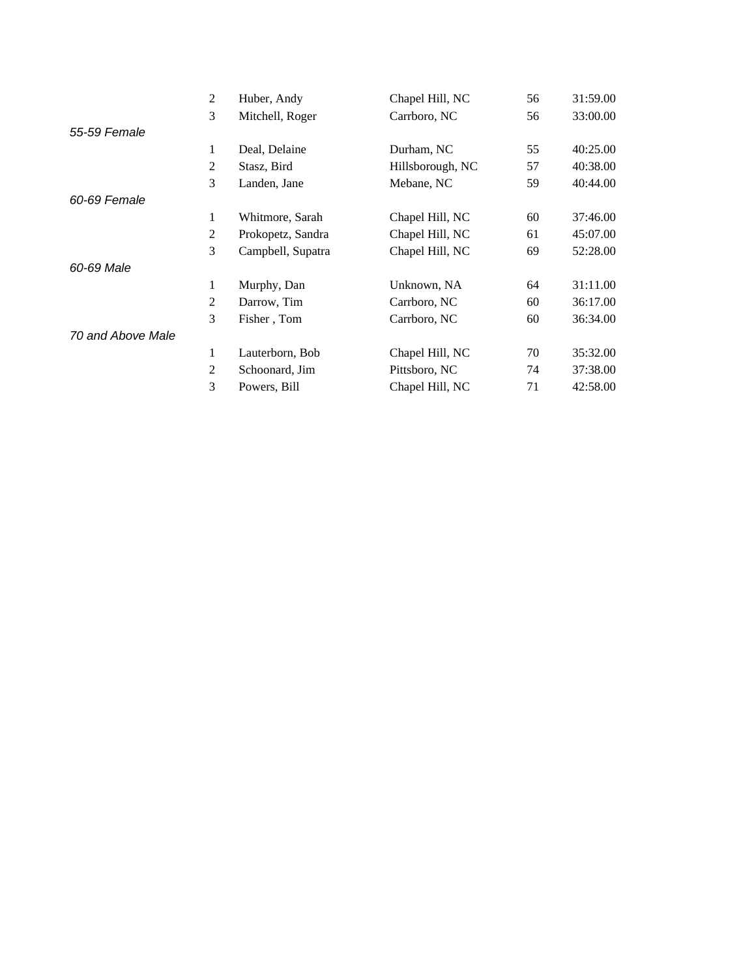|                   | 2 | Huber, Andy       | Chapel Hill, NC  | 56 | 31:59.00 |
|-------------------|---|-------------------|------------------|----|----------|
|                   | 3 | Mitchell, Roger   | Carrboro, NC     | 56 | 33:00.00 |
| 55-59 Female      |   |                   |                  |    |          |
|                   | 1 | Deal, Delaine     | Durham, NC       | 55 | 40:25.00 |
|                   | 2 | Stasz, Bird       | Hillsborough, NC | 57 | 40:38.00 |
|                   | 3 | Landen, Jane      | Mebane, NC       | 59 | 40:44.00 |
| 60-69 Female      |   |                   |                  |    |          |
|                   | 1 | Whitmore, Sarah   | Chapel Hill, NC  | 60 | 37:46.00 |
|                   | 2 | Prokopetz, Sandra | Chapel Hill, NC  | 61 | 45:07.00 |
|                   | 3 | Campbell, Supatra | Chapel Hill, NC  | 69 | 52:28.00 |
| 60-69 Male        |   |                   |                  |    |          |
|                   | 1 | Murphy, Dan       | Unknown, NA      | 64 | 31:11.00 |
|                   | 2 | Darrow, Tim       | Carrboro, NC     | 60 | 36:17.00 |
|                   | 3 | Fisher, Tom       | Carrboro, NC     | 60 | 36:34.00 |
| 70 and Above Male |   |                   |                  |    |          |
|                   | 1 | Lauterborn, Bob   | Chapel Hill, NC  | 70 | 35:32.00 |
|                   | 2 | Schoonard, Jim    | Pittsboro, NC    | 74 | 37:38.00 |
|                   | 3 | Powers, Bill      | Chapel Hill, NC  | 71 | 42:58.00 |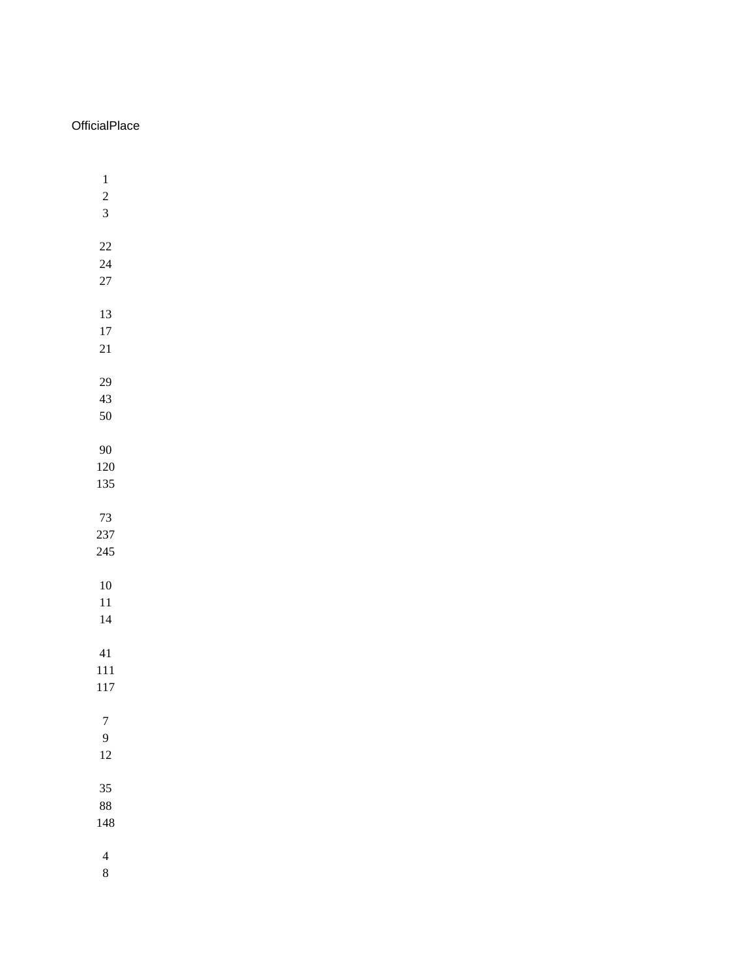## **OfficialPlace**

| $\mathbf{1}$<br>$\overline{\mathbf{c}}$<br>3 |  |  |
|----------------------------------------------|--|--|
| 22<br>24<br>27                               |  |  |
| 13<br>17<br>21                               |  |  |
| 29<br>43<br>50                               |  |  |
| 90<br>120<br>135                             |  |  |
| 73<br>237<br>245                             |  |  |
| 10<br>11<br>14                               |  |  |
| 41<br>111<br>117                             |  |  |
| $\boldsymbol{7}$<br>9<br>12                  |  |  |
| 35<br>88<br>148                              |  |  |
| $\overline{\mathcal{L}}$                     |  |  |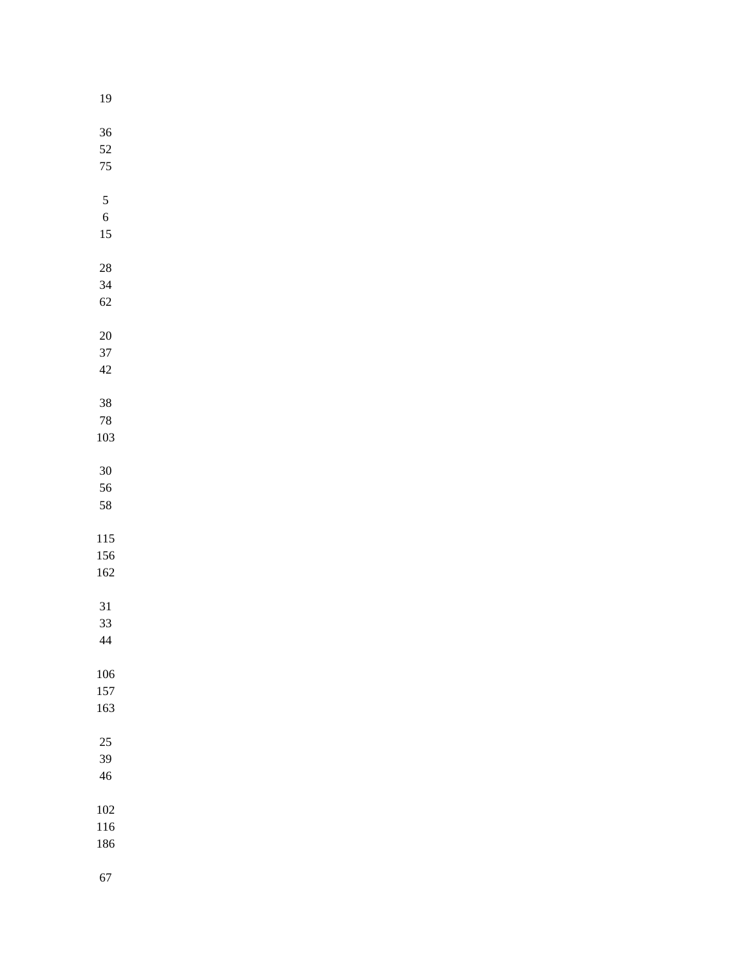| $19\,$       |  |  |  |
|--------------|--|--|--|
| $36\,$       |  |  |  |
| 52           |  |  |  |
| $75\,$       |  |  |  |
|              |  |  |  |
| $\sqrt{5}$   |  |  |  |
| $\sqrt{6}$   |  |  |  |
| 15           |  |  |  |
|              |  |  |  |
| $28\,$<br>34 |  |  |  |
| $62\,$       |  |  |  |
|              |  |  |  |
| $20\,$       |  |  |  |
| 37           |  |  |  |
| $42\,$       |  |  |  |
|              |  |  |  |
| $38\,$       |  |  |  |
| 78           |  |  |  |
| 103          |  |  |  |
| $30\,$       |  |  |  |
| 56           |  |  |  |
| 58           |  |  |  |
|              |  |  |  |
| 115          |  |  |  |
| 156<br>162   |  |  |  |
|              |  |  |  |
| 31           |  |  |  |
| 33           |  |  |  |
| $\sqrt{44}$  |  |  |  |
|              |  |  |  |
| 106<br>157   |  |  |  |
| 163          |  |  |  |
|              |  |  |  |
| $25\,$       |  |  |  |
| 39           |  |  |  |
| $46\,$       |  |  |  |
| 102          |  |  |  |
| 116          |  |  |  |
| 186          |  |  |  |
|              |  |  |  |
| 67           |  |  |  |